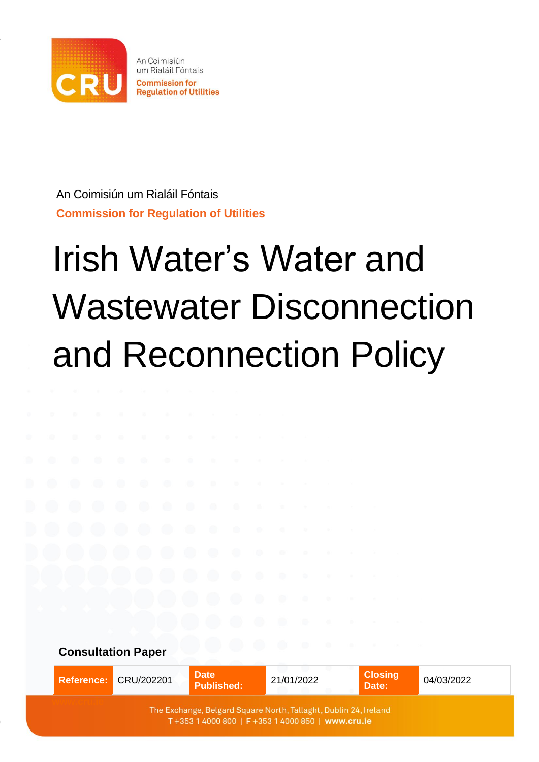

An Coimisiún um Rialáil Fóntais **Commission for Regulation of Utilities**

# Irish Water's Water and Wastewater Disconnection and Reconnection Policy

**Consultation Paper**

|  | Reference: CRU/202201 | <b>Date</b><br><b>Published:</b> | 21/01/2022                                                                                                           | <b>Closing</b><br>Date: | 04/03/2022 |
|--|-----------------------|----------------------------------|----------------------------------------------------------------------------------------------------------------------|-------------------------|------------|
|  |                       |                                  | The Exchange, Belgard Square North, Tallaght, Dublin 24, Ireland<br>T+353 1 4000 800   F+353 1 4000 850   www.cru.ie |                         |            |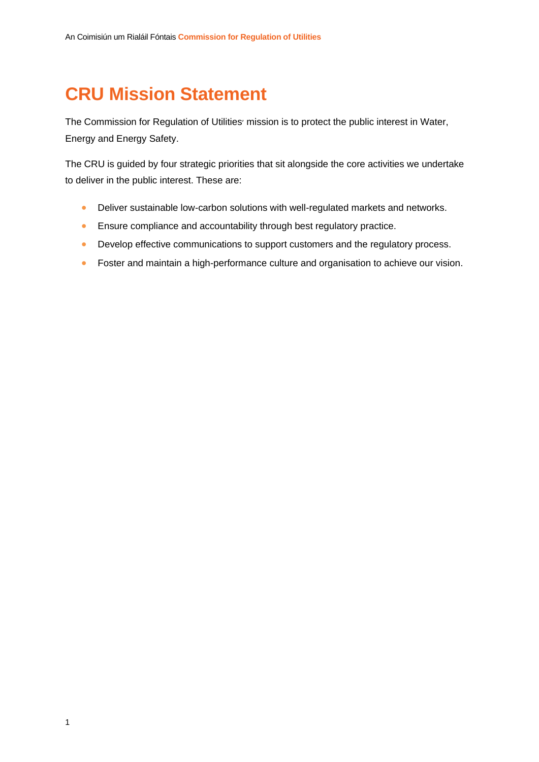# **CRU Mission Statement**

The Commission for Regulation of Utilities' mission is to protect the public interest in Water, Energy and Energy Safety.

The CRU is guided by four strategic priorities that sit alongside the core activities we undertake to deliver in the public interest. These are:

- Deliver sustainable low-carbon solutions with well-regulated markets and networks.
- Ensure compliance and accountability through best regulatory practice.
- Develop effective communications to support customers and the regulatory process.
- Foster and maintain a high-performance culture and organisation to achieve our vision.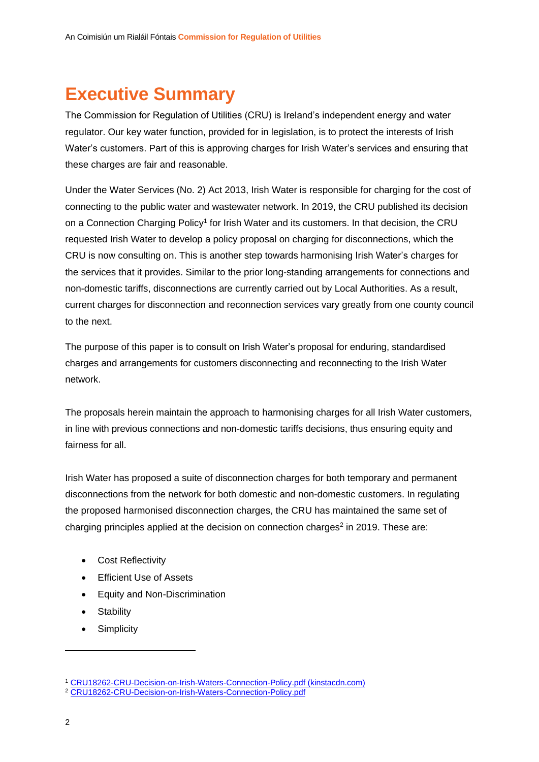# **Executive Summary**

The Commission for Regulation of Utilities (CRU) is Ireland's independent energy and water regulator. Our key water function, provided for in legislation, is to protect the interests of Irish Water's customers. Part of this is approving charges for Irish Water's services and ensuring that these charges are fair and reasonable.

Under the Water Services (No. 2) Act 2013, Irish Water is responsible for charging for the cost of connecting to the public water and wastewater network. In 2019, the CRU published its decision on a Connection Charging Policy<sup>1</sup> for Irish Water and its customers. In that decision, the CRU requested Irish Water to develop a policy proposal on charging for disconnections, which the CRU is now consulting on. This is another step towards harmonising Irish Water's charges for the services that it provides. Similar to the prior long-standing arrangements for connections and non-domestic tariffs, disconnections are currently carried out by Local Authorities. As a result, current charges for disconnection and reconnection services vary greatly from one county council to the next.

The purpose of this paper is to consult on Irish Water's proposal for enduring, standardised charges and arrangements for customers disconnecting and reconnecting to the Irish Water network.

The proposals herein maintain the approach to harmonising charges for all Irish Water customers, in line with previous connections and non-domestic tariffs decisions, thus ensuring equity and fairness for all

Irish Water has proposed a suite of disconnection charges for both temporary and permanent disconnections from the network for both domestic and non-domestic customers. In regulating the proposed harmonised disconnection charges, the CRU has maintained the same set of charging principles applied at the decision on connection charges<sup>2</sup> in 2019. These are:

- Cost Reflectivity
- Efficient Use of Assets
- Equity and Non-Discrimination
- Stability
- Simplicity

<sup>1</sup> [CRU18262-CRU-Decision-on-Irish-Waters-Connection-Policy.pdf \(kinstacdn.com\)](https://mk0cruieqdjtk6utoah.kinstacdn.com/wp-content/uploads/2019/01/CRU18262-CRU-Decision-on-Irish-Waters-Connection-Policy.pdf)

<sup>2</sup> [CRU18262-CRU-Decision-on-Irish-Waters-Connection-Policy.pdf](https://www.cru.ie/wp-content/uploads/2019/01/CRU18262-CRU-Decision-on-Irish-Waters-Connection-Policy.pdf)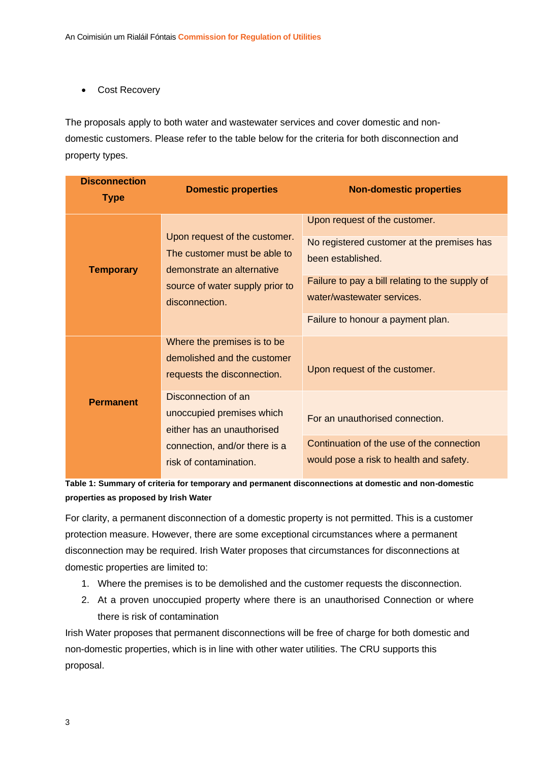• Cost Recovery

The proposals apply to both water and wastewater services and cover domestic and nondomestic customers. Please refer to the table below for the criteria for both disconnection and property types.

| <b>Disconnection</b><br><b>Type</b> | <b>Domestic properties</b>                                                                                                                       | <b>Non-domestic properties</b>                                                                                                                                                                                         |
|-------------------------------------|--------------------------------------------------------------------------------------------------------------------------------------------------|------------------------------------------------------------------------------------------------------------------------------------------------------------------------------------------------------------------------|
| <b>Temporary</b>                    | Upon request of the customer.<br>The customer must be able to<br>demonstrate an alternative<br>source of water supply prior to<br>disconnection. | Upon request of the customer.<br>No registered customer at the premises has<br>been established.<br>Failure to pay a bill relating to the supply of<br>water/wastewater services.<br>Failure to honour a payment plan. |
|                                     | Where the premises is to be<br>demolished and the customer<br>requests the disconnection.                                                        | Upon request of the customer.                                                                                                                                                                                          |
| <b>Permanent</b>                    | Disconnection of an<br>unoccupied premises which<br>either has an unauthorised                                                                   | For an unauthorised connection.                                                                                                                                                                                        |
|                                     | connection, and/or there is a<br>risk of contamination.                                                                                          | Continuation of the use of the connection<br>would pose a risk to health and safety.                                                                                                                                   |

**Table 1: Summary of criteria for temporary and permanent disconnections at domestic and non-domestic properties as proposed by Irish Water** 

For clarity, a permanent disconnection of a domestic property is not permitted. This is a customer protection measure. However, there are some exceptional circumstances where a permanent disconnection may be required. Irish Water proposes that circumstances for disconnections at domestic properties are limited to:

- 1. Where the premises is to be demolished and the customer requests the disconnection.
- 2. At a proven unoccupied property where there is an unauthorised Connection or where there is risk of contamination

Irish Water proposes that permanent disconnections will be free of charge for both domestic and non-domestic properties, which is in line with other water utilities. The CRU supports this proposal.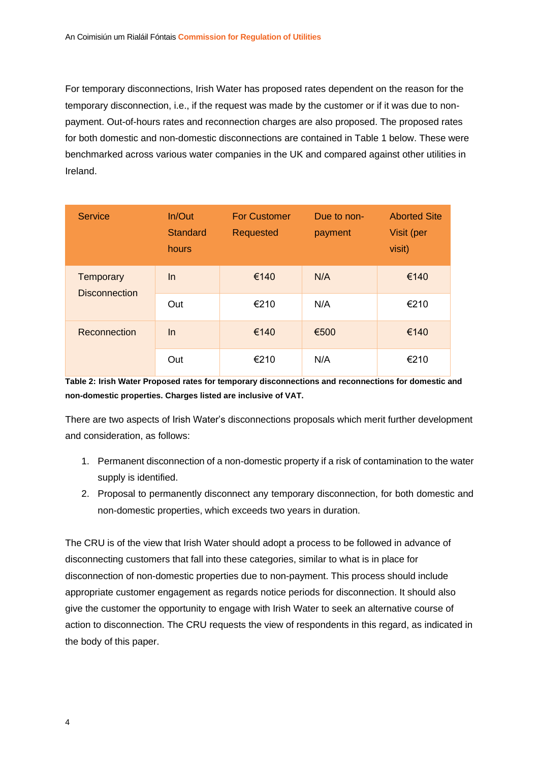For temporary disconnections, Irish Water has proposed rates dependent on the reason for the temporary disconnection, i.e., if the request was made by the customer or if it was due to nonpayment. Out-of-hours rates and reconnection charges are also proposed. The proposed rates for both domestic and non-domestic disconnections are contained in Table 1 below. These were benchmarked across various water companies in the UK and compared against other utilities in Ireland.

| <b>Service</b>                    | In/Out<br><b>Standard</b><br>hours | <b>For Customer</b><br><b>Requested</b> | Due to non-<br>payment | <b>Aborted Site</b><br>Visit (per<br>visit) |
|-----------------------------------|------------------------------------|-----------------------------------------|------------------------|---------------------------------------------|
| Temporary<br><b>Disconnection</b> | <b>In</b>                          | €140                                    | N/A                    | €140                                        |
|                                   | Out                                | €210                                    | N/A                    | €210                                        |
| Reconnection                      | <b>In</b>                          | €140                                    | €500                   | €140                                        |
|                                   | Out                                | €210                                    | N/A                    | €210                                        |

**Table 2: Irish Water Proposed rates for temporary disconnections and reconnections for domestic and non-domestic properties. Charges listed are inclusive of VAT.**

There are two aspects of Irish Water's disconnections proposals which merit further development and consideration, as follows:

- 1. Permanent disconnection of a non-domestic property if a risk of contamination to the water supply is identified.
- 2. Proposal to permanently disconnect any temporary disconnection, for both domestic and non-domestic properties, which exceeds two years in duration.

The CRU is of the view that Irish Water should adopt a process to be followed in advance of disconnecting customers that fall into these categories, similar to what is in place for disconnection of non-domestic properties due to non-payment. This process should include appropriate customer engagement as regards notice periods for disconnection. It should also give the customer the opportunity to engage with Irish Water to seek an alternative course of action to disconnection. The CRU requests the view of respondents in this regard, as indicated in the body of this paper.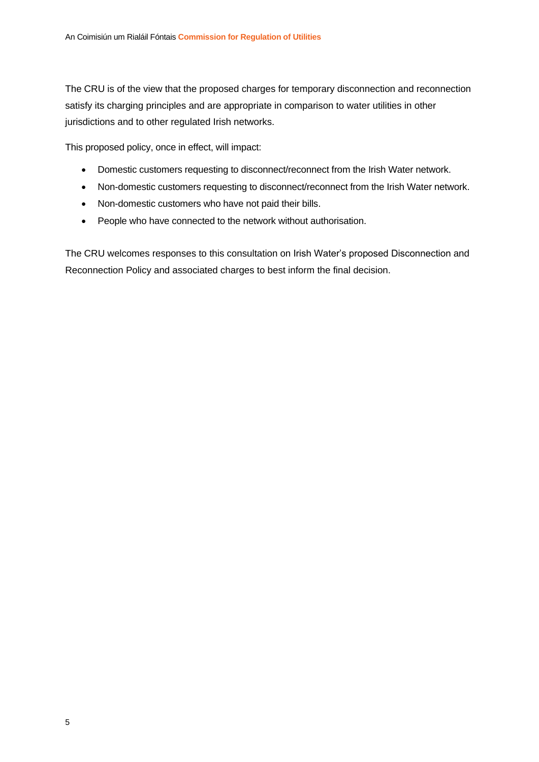The CRU is of the view that the proposed charges for temporary disconnection and reconnection satisfy its charging principles and are appropriate in comparison to water utilities in other jurisdictions and to other regulated Irish networks.

This proposed policy, once in effect, will impact:

- Domestic customers requesting to disconnect/reconnect from the Irish Water network.
- Non-domestic customers requesting to disconnect/reconnect from the Irish Water network.
- Non-domestic customers who have not paid their bills.
- People who have connected to the network without authorisation.

The CRU welcomes responses to this consultation on Irish Water's proposed Disconnection and Reconnection Policy and associated charges to best inform the final decision.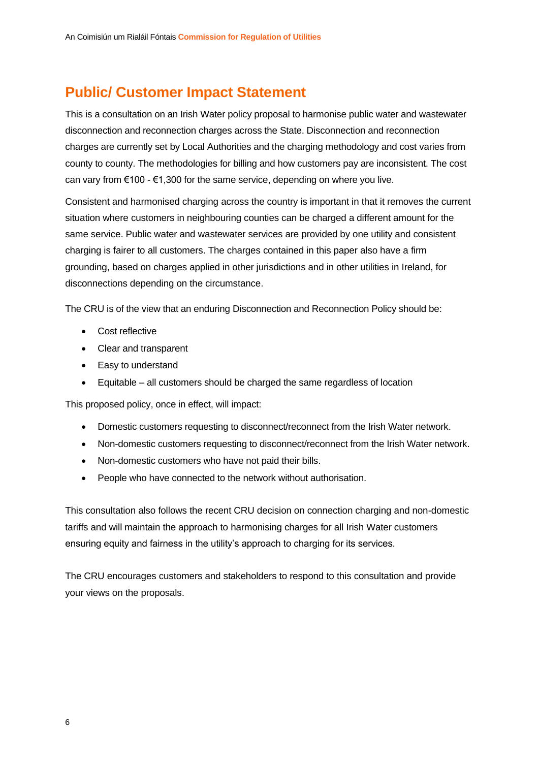## **Public/ Customer Impact Statement**

This is a consultation on an Irish Water policy proposal to harmonise public water and wastewater disconnection and reconnection charges across the State. Disconnection and reconnection charges are currently set by Local Authorities and the charging methodology and cost varies from county to county. The methodologies for billing and how customers pay are inconsistent. The cost can vary from  $\epsilon$ 100 -  $\epsilon$ 1,300 for the same service, depending on where you live.

Consistent and harmonised charging across the country is important in that it removes the current situation where customers in neighbouring counties can be charged a different amount for the same service. Public water and wastewater services are provided by one utility and consistent charging is fairer to all customers. The charges contained in this paper also have a firm grounding, based on charges applied in other jurisdictions and in other utilities in Ireland, for disconnections depending on the circumstance.

The CRU is of the view that an enduring Disconnection and Reconnection Policy should be:

- Cost reflective
- Clear and transparent
- Easy to understand
- Equitable all customers should be charged the same regardless of location

This proposed policy, once in effect, will impact:

- Domestic customers requesting to disconnect/reconnect from the Irish Water network.
- Non-domestic customers requesting to disconnect/reconnect from the Irish Water network.
- Non-domestic customers who have not paid their bills.
- People who have connected to the network without authorisation.

This consultation also follows the recent CRU decision on connection charging and non-domestic tariffs and will maintain the approach to harmonising charges for all Irish Water customers ensuring equity and fairness in the utility's approach to charging for its services.

The CRU encourages customers and stakeholders to respond to this consultation and provide your views on the proposals.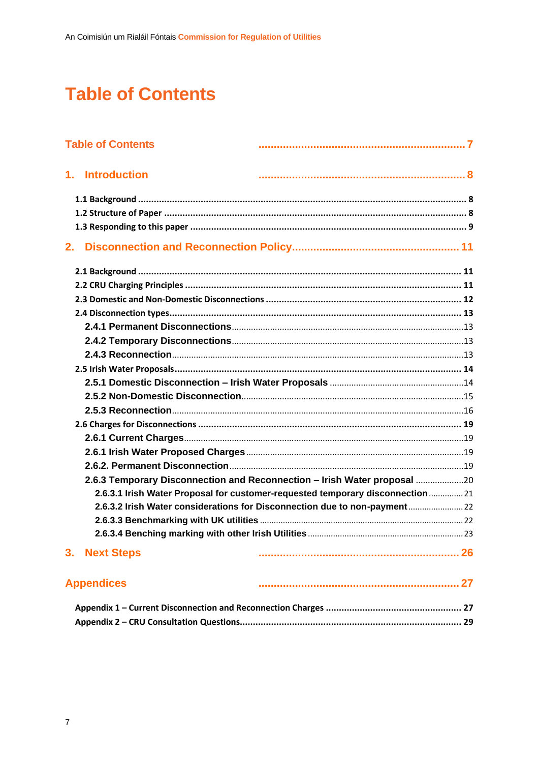# **Table of Contents**

|    | <b>Table of Contents</b>                                                       |  |
|----|--------------------------------------------------------------------------------|--|
|    | 1. Introduction                                                                |  |
|    |                                                                                |  |
|    |                                                                                |  |
|    |                                                                                |  |
| 2. |                                                                                |  |
|    |                                                                                |  |
|    |                                                                                |  |
|    |                                                                                |  |
|    |                                                                                |  |
|    |                                                                                |  |
|    |                                                                                |  |
|    |                                                                                |  |
|    |                                                                                |  |
|    |                                                                                |  |
|    |                                                                                |  |
|    |                                                                                |  |
|    |                                                                                |  |
|    |                                                                                |  |
|    |                                                                                |  |
|    |                                                                                |  |
|    | 2.6.3 Temporary Disconnection and Reconnection - Irish Water proposal 20       |  |
|    | 2.6.3.1 Irish Water Proposal for customer-requested temporary disconnection 21 |  |
|    | 22.6.3.2 Irish Water considerations for Disconnection due to non-payment 22    |  |
|    |                                                                                |  |
|    |                                                                                |  |
|    | 3. Next Steps                                                                  |  |
|    | <b>Appendices</b>                                                              |  |
|    |                                                                                |  |
|    |                                                                                |  |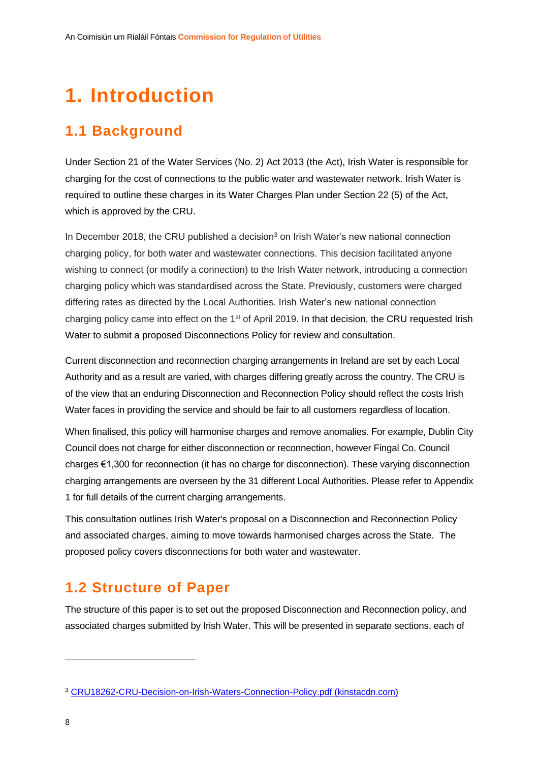# **1. Introduction**

## **1.1 Background**

Under Section 21 of the Water Services (No. 2) Act 2013 (the Act), Irish Water is responsible for charging for the cost of connections to the public water and wastewater network. Irish Water is required to outline these charges in its Water Charges Plan under Section 22 (5) of the Act, which is approved by the CRU.

In December 2018, the CRU published a decision<sup>3</sup> on Irish Water's new national connection charging policy, for both water and wastewater connections. This decision facilitated anyone wishing to connect (or modify a connection) to the Irish Water network, introducing a connection charging policy which was standardised across the State. Previously, customers were charged differing rates as directed by the Local Authorities. Irish Water's new national connection charging policy came into effect on the 1<sup>st</sup> of April 2019. In that decision, the CRU requested Irish Water to submit a proposed Disconnections Policy for review and consultation.

Current disconnection and reconnection charging arrangements in Ireland are set by each Local Authority and as a result are varied, with charges differing greatly across the country. The CRU is of the view that an enduring Disconnection and Reconnection Policy should reflect the costs Irish Water faces in providing the service and should be fair to all customers regardless of location.

When finalised, this policy will harmonise charges and remove anomalies. For example, Dublin City Council does not charge for either disconnection or reconnection, however Fingal Co. Council charges €1,300 for reconnection (it has no charge for disconnection). These varying disconnection charging arrangements are overseen by the 31 different Local Authorities. Please refer to Appendix 1 for full details of the current charging arrangements.

This consultation outlines Irish Water's proposal on a Disconnection and Reconnection Policy and associated charges, aiming to move towards harmonised charges across the State. The proposed policy covers disconnections for both water and wastewater.

### **1.2 Structure of Paper**

The structure of this paper is to set out the proposed Disconnection and Reconnection policy, and associated charges submitted by Irish Water. This will be presented in separate sections, each of

<sup>3</sup> [CRU18262-CRU-Decision-on-Irish-Waters-Connection-Policy.pdf \(kinstacdn.com\)](https://mk0cruieqdjtk6utoah.kinstacdn.com/wp-content/uploads/2019/01/CRU18262-CRU-Decision-on-Irish-Waters-Connection-Policy.pdf)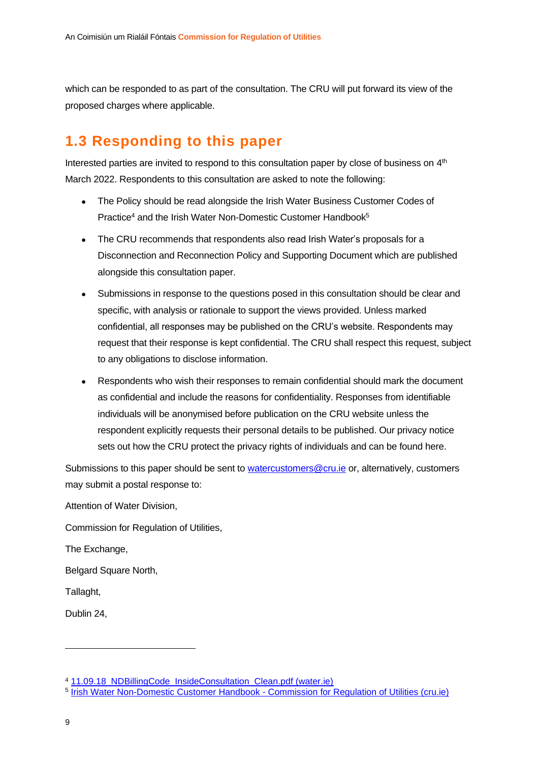which can be responded to as part of the consultation. The CRU will put forward its view of the proposed charges where applicable.

### **1.3 Responding to this paper**

Interested parties are invited to respond to this consultation paper by close of business on 4<sup>th</sup> March 2022. Respondents to this consultation are asked to note the following:

- The Policy should be read alongside the Irish Water Business Customer Codes of Practice<sup>4</sup> and the Irish Water Non-Domestic Customer Handbook<sup>5</sup>
- The CRU recommends that respondents also read Irish Water's proposals for a Disconnection and Reconnection Policy and Supporting Document which are published alongside this consultation paper.
- Submissions in response to the questions posed in this consultation should be clear and specific, with analysis or rationale to support the views provided. Unless marked confidential, all responses may be published on the CRU's website. Respondents may request that their response is kept confidential. The CRU shall respect this request, subject to any obligations to disclose information.
- Respondents who wish their responses to remain confidential should mark the document as confidential and include the reasons for confidentiality. Responses from identifiable individuals will be anonymised before publication on the CRU website unless the respondent explicitly requests their personal details to be published. Our privacy notice sets out how the CRU protect the privacy rights of individuals and can be found here.

Submissions to this paper should be sent to [watercustomers@cru.ie](mailto:watercustomers@cru.ie) or, alternatively, customers may submit a postal response to:

Attention of Water Division,

Commission for Regulation of Utilities,

The Exchange,

Belgard Square North,

Tallaght,

Dublin 24,

<sup>4</sup> [11.09.18\\_NDBillingCode\\_InsideConsultation\\_Clean.pdf \(water.ie\)](https://www.water.ie/iw-documents/about/11.09.18_NDBillingCode_InsideConsultation_Clean.pdf)

<sup>5</sup> [Irish Water Non-Domestic Customer Handbook -](https://www.cru.ie/document_group/irish-water-non-domestic-customer-handbook/) Commission for Regulation of Utilities (cru.ie)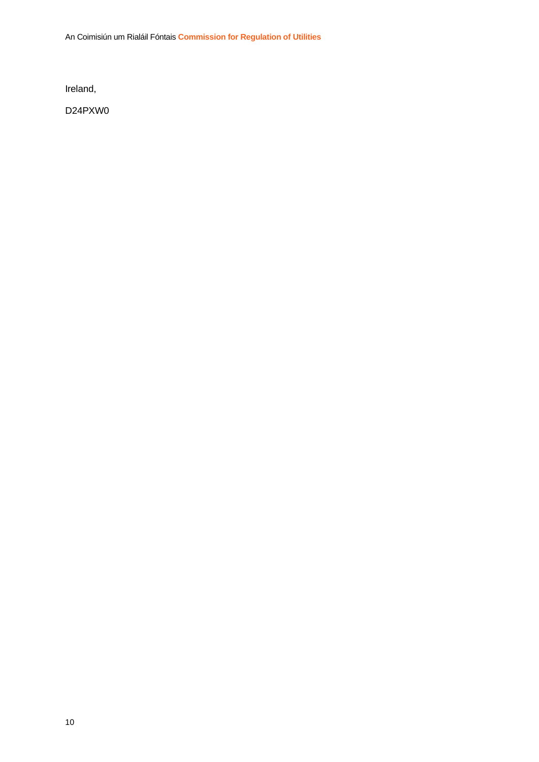An Coimisiún um Rialáil Fóntais **Commission for Regulation of Utilities**

Ireland,

D24PXW0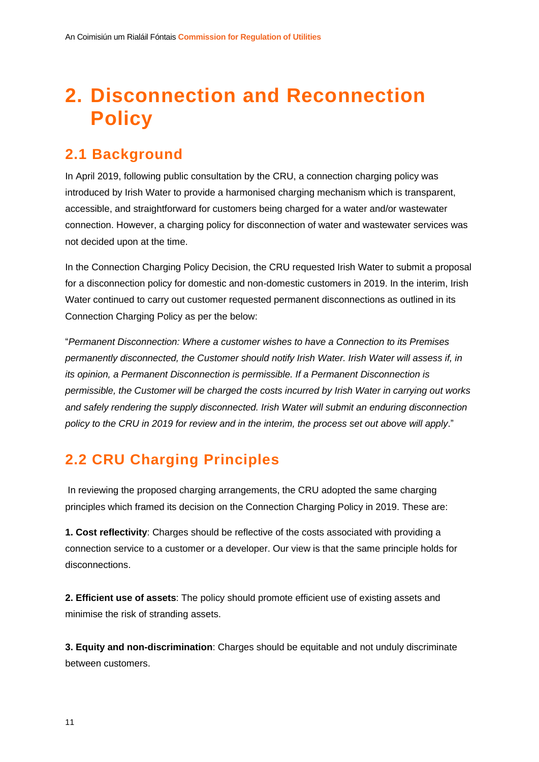# **2. Disconnection and Reconnection Policy**

### **2.1 Background**

In April 2019, following public consultation by the CRU, a connection charging policy was introduced by Irish Water to provide a harmonised charging mechanism which is transparent, accessible, and straightforward for customers being charged for a water and/or wastewater connection. However, a charging policy for disconnection of water and wastewater services was not decided upon at the time.

In the Connection Charging Policy Decision, the CRU requested Irish Water to submit a proposal for a disconnection policy for domestic and non-domestic customers in 2019. In the interim, Irish Water continued to carry out customer requested permanent disconnections as outlined in its Connection Charging Policy as per the below:

"*Permanent Disconnection: Where a customer wishes to have a Connection to its Premises permanently disconnected, the Customer should notify Irish Water. Irish Water will assess if, in its opinion, a Permanent Disconnection is permissible. If a Permanent Disconnection is permissible, the Customer will be charged the costs incurred by Irish Water in carrying out works and safely rendering the supply disconnected. Irish Water will submit an enduring disconnection policy to the CRU in 2019 for review and in the interim, the process set out above will apply*."

# **2.2 CRU Charging Principles**

In reviewing the proposed charging arrangements, the CRU adopted the same charging principles which framed its decision on the Connection Charging Policy in 2019. These are:

**1. Cost reflectivity**: Charges should be reflective of the costs associated with providing a connection service to a customer or a developer. Our view is that the same principle holds for disconnections.

**2. Efficient use of assets**: The policy should promote efficient use of existing assets and minimise the risk of stranding assets.

**3. Equity and non-discrimination**: Charges should be equitable and not unduly discriminate between customers.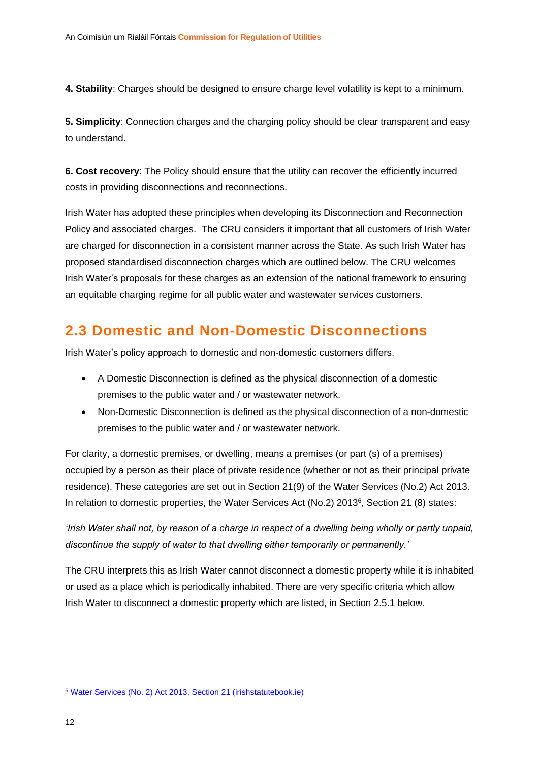**4. Stability**: Charges should be designed to ensure charge level volatility is kept to a minimum.

**5. Simplicity**: Connection charges and the charging policy should be clear transparent and easy to understand.

**6. Cost recovery**: The Policy should ensure that the utility can recover the efficiently incurred costs in providing disconnections and reconnections.

Irish Water has adopted these principles when developing its Disconnection and Reconnection Policy and associated charges. The CRU considers it important that all customers of Irish Water are charged for disconnection in a consistent manner across the State. As such Irish Water has proposed standardised disconnection charges which are outlined below. The CRU welcomes Irish Water's proposals for these charges as an extension of the national framework to ensuring an equitable charging regime for all public water and wastewater services customers.

### **2.3 Domestic and Non-Domestic Disconnections**

Irish Water's policy approach to domestic and non-domestic customers differs.

- A Domestic Disconnection is defined as the physical disconnection of a domestic premises to the public water and / or wastewater network.
- Non-Domestic Disconnection is defined as the physical disconnection of a non-domestic premises to the public water and / or wastewater network.

For clarity, a domestic premises, or dwelling, means a premises (or part (s) of a premises) occupied by a person as their place of private residence (whether or not as their principal private residence). These categories are set out in Section 21(9) of the Water Services (No.2) Act 2013. In relation to domestic properties, the Water Services Act (No.2) 2013<sup>6</sup>, Section 21 (8) states:

*'Irish Water shall not, by reason of a charge in respect of a dwelling being wholly or partly unpaid, discontinue the supply of water to that dwelling either temporarily or permanently.'*

The CRU interprets this as Irish Water cannot disconnect a domestic property while it is inhabited or used as a place which is periodically inhabited. There are very specific criteria which allow Irish Water to disconnect a domestic property which are listed, in Section 2.5.1 below.

<sup>6</sup> [Water Services \(No. 2\) Act 2013, Section 21 \(irishstatutebook.ie\)](https://www.irishstatutebook.ie/eli/2013/act/50/section/21/enacted/en/html#sec21)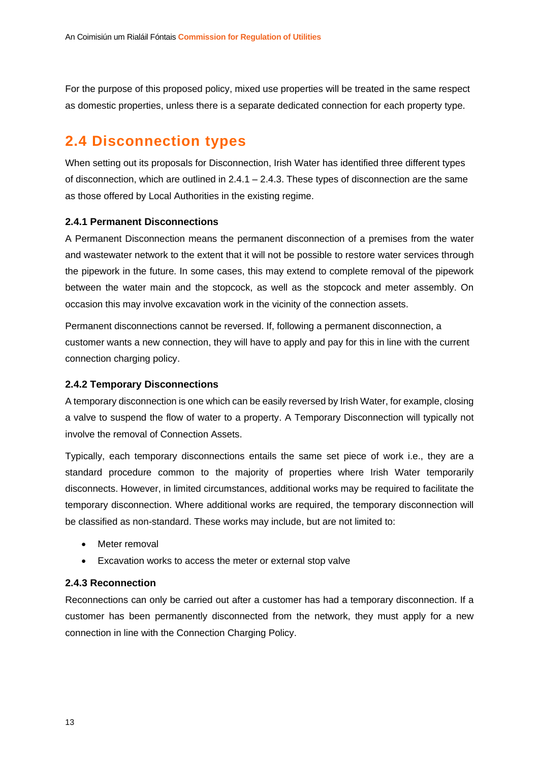For the purpose of this proposed policy, mixed use properties will be treated in the same respect as domestic properties, unless there is a separate dedicated connection for each property type.

### **2.4 Disconnection types**

When setting out its proposals for Disconnection, Irish Water has identified three different types of disconnection, which are outlined in  $2.4.1 - 2.4.3$ . These types of disconnection are the same as those offered by Local Authorities in the existing regime.

#### **2.4.1 Permanent Disconnections**

A Permanent Disconnection means the permanent disconnection of a premises from the water and wastewater network to the extent that it will not be possible to restore water services through the pipework in the future. In some cases, this may extend to complete removal of the pipework between the water main and the stopcock, as well as the stopcock and meter assembly. On occasion this may involve excavation work in the vicinity of the connection assets.

Permanent disconnections cannot be reversed. If, following a permanent disconnection, a customer wants a new connection, they will have to apply and pay for this in line with the current connection charging policy.

#### **2.4.2 Temporary Disconnections**

A temporary disconnection is one which can be easily reversed by Irish Water, for example, closing a valve to suspend the flow of water to a property. A Temporary Disconnection will typically not involve the removal of Connection Assets.

Typically, each temporary disconnections entails the same set piece of work i.e., they are a standard procedure common to the majority of properties where Irish Water temporarily disconnects. However, in limited circumstances, additional works may be required to facilitate the temporary disconnection. Where additional works are required, the temporary disconnection will be classified as non-standard. These works may include, but are not limited to:

- Meter removal
- Excavation works to access the meter or external stop valve

#### **2.4.3 Reconnection**

Reconnections can only be carried out after a customer has had a temporary disconnection. If a customer has been permanently disconnected from the network, they must apply for a new connection in line with the Connection Charging Policy.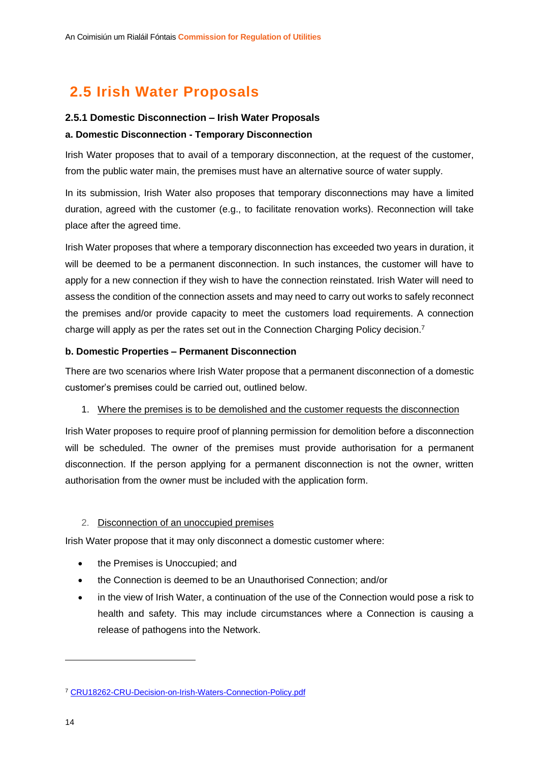# **2.5 Irish Water Proposals**

#### **2.5.1 Domestic Disconnection – Irish Water Proposals**

#### **a. Domestic Disconnection - Temporary Disconnection**

Irish Water proposes that to avail of a temporary disconnection, at the request of the customer, from the public water main, the premises must have an alternative source of water supply.

In its submission, Irish Water also proposes that temporary disconnections may have a limited duration, agreed with the customer (e.g., to facilitate renovation works). Reconnection will take place after the agreed time.

Irish Water proposes that where a temporary disconnection has exceeded two years in duration, it will be deemed to be a permanent disconnection. In such instances, the customer will have to apply for a new connection if they wish to have the connection reinstated. Irish Water will need to assess the condition of the connection assets and may need to carry out works to safely reconnect the premises and/or provide capacity to meet the customers load requirements. A connection charge will apply as per the rates set out in the Connection Charging Policy decision.<sup>7</sup>

#### **b. Domestic Properties – Permanent Disconnection**

There are two scenarios where Irish Water propose that a permanent disconnection of a domestic customer's premises could be carried out, outlined below.

#### 1. Where the premises is to be demolished and the customer requests the disconnection

Irish Water proposes to require proof of planning permission for demolition before a disconnection will be scheduled. The owner of the premises must provide authorisation for a permanent disconnection. If the person applying for a permanent disconnection is not the owner, written authorisation from the owner must be included with the application form.

#### 2. Disconnection of an unoccupied premises

Irish Water propose that it may only disconnect a domestic customer where:

- the Premises is Unoccupied; and
- the Connection is deemed to be an Unauthorised Connection; and/or
- in the view of Irish Water, a continuation of the use of the Connection would pose a risk to health and safety. This may include circumstances where a Connection is causing a release of pathogens into the Network.

<sup>7</sup> [CRU18262-CRU-Decision-on-Irish-Waters-Connection-Policy.pdf](https://www.cru.ie/wp-content/uploads/2019/01/CRU18262-CRU-Decision-on-Irish-Waters-Connection-Policy.pdf)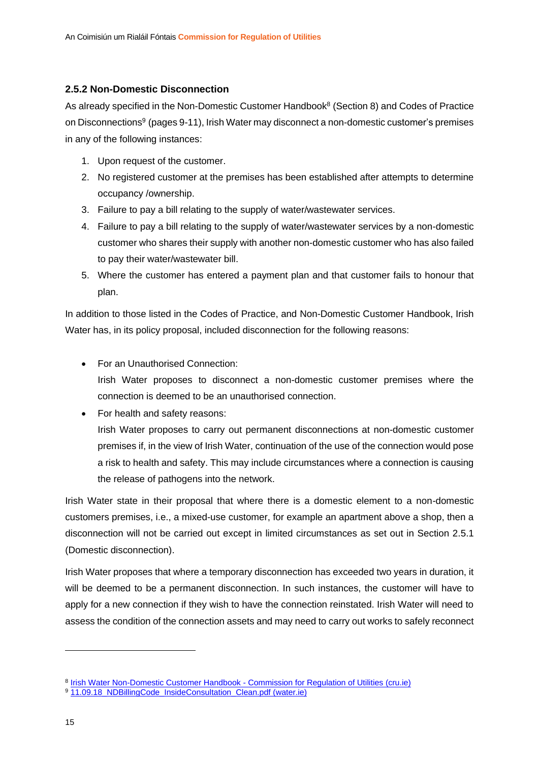#### **2.5.2 Non-Domestic Disconnection**

As already specified in the Non-Domestic Customer Handbook<sup>8</sup> (Section 8) and Codes of Practice on Disconnections<sup>9</sup> (pages 9-11), Irish Water may disconnect a non-domestic customer's premises in any of the following instances:

- 1. Upon request of the customer.
- 2. No registered customer at the premises has been established after attempts to determine occupancy /ownership.
- 3. Failure to pay a bill relating to the supply of water/wastewater services.
- 4. Failure to pay a bill relating to the supply of water/wastewater services by a non-domestic customer who shares their supply with another non-domestic customer who has also failed to pay their water/wastewater bill.
- 5. Where the customer has entered a payment plan and that customer fails to honour that plan.

In addition to those listed in the Codes of Practice, and Non-Domestic Customer Handbook, Irish Water has, in its policy proposal, included disconnection for the following reasons:

- For an Unauthorised Connection: Irish Water proposes to disconnect a non-domestic customer premises where the connection is deemed to be an unauthorised connection.
- For health and safety reasons:

Irish Water proposes to carry out permanent disconnections at non-domestic customer premises if, in the view of Irish Water, continuation of the use of the connection would pose a risk to health and safety. This may include circumstances where a connection is causing the release of pathogens into the network.

Irish Water state in their proposal that where there is a domestic element to a non-domestic customers premises, i.e., a mixed-use customer, for example an apartment above a shop, then a disconnection will not be carried out except in limited circumstances as set out in Section 2.5.1 (Domestic disconnection).

Irish Water proposes that where a temporary disconnection has exceeded two years in duration, it will be deemed to be a permanent disconnection. In such instances, the customer will have to apply for a new connection if they wish to have the connection reinstated. Irish Water will need to assess the condition of the connection assets and may need to carry out works to safely reconnect

<sup>&</sup>lt;sup>8</sup> [Irish Water Non-Domestic Customer Handbook -](https://www.cru.ie/document_group/irish-water-non-domestic-customer-handbook/) Commission for Regulation of Utilities (cru.ie)

<sup>&</sup>lt;sup>9</sup> [11.09.18\\_NDBillingCode\\_InsideConsultation\\_Clean.pdf \(water.ie\)](https://www.water.ie/iw-documents/about/11.09.18_NDBillingCode_InsideConsultation_Clean.pdf)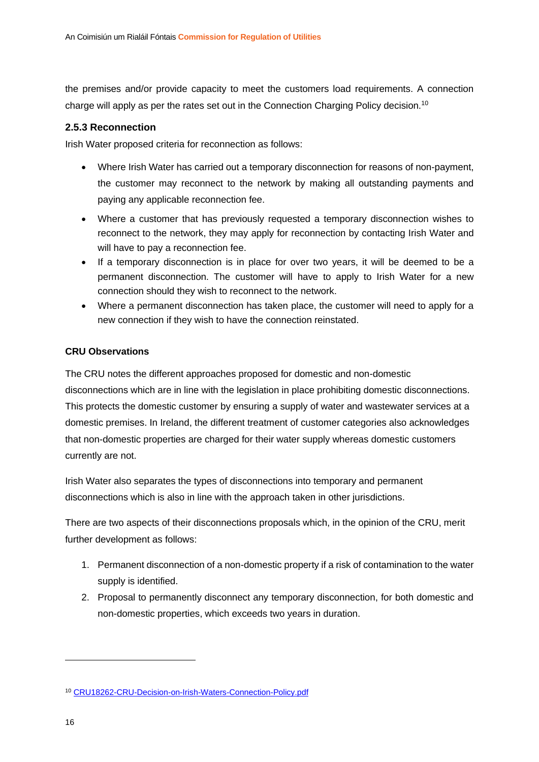the premises and/or provide capacity to meet the customers load requirements. A connection charge will apply as per the rates set out in the Connection Charging Policy decision.<sup>10</sup>

#### **2.5.3 Reconnection**

Irish Water proposed criteria for reconnection as follows:

- Where Irish Water has carried out a temporary disconnection for reasons of non-payment, the customer may reconnect to the network by making all outstanding payments and paying any applicable reconnection fee.
- Where a customer that has previously requested a temporary disconnection wishes to reconnect to the network, they may apply for reconnection by contacting Irish Water and will have to pay a reconnection fee.
- If a temporary disconnection is in place for over two years, it will be deemed to be a permanent disconnection. The customer will have to apply to Irish Water for a new connection should they wish to reconnect to the network.
- Where a permanent disconnection has taken place, the customer will need to apply for a new connection if they wish to have the connection reinstated.

#### **CRU Observations**

The CRU notes the different approaches proposed for domestic and non-domestic disconnections which are in line with the legislation in place prohibiting domestic disconnections. This protects the domestic customer by ensuring a supply of water and wastewater services at a domestic premises. In Ireland, the different treatment of customer categories also acknowledges that non-domestic properties are charged for their water supply whereas domestic customers currently are not.

Irish Water also separates the types of disconnections into temporary and permanent disconnections which is also in line with the approach taken in other jurisdictions.

There are two aspects of their disconnections proposals which, in the opinion of the CRU, merit further development as follows:

- 1. Permanent disconnection of a non-domestic property if a risk of contamination to the water supply is identified.
- 2. Proposal to permanently disconnect any temporary disconnection, for both domestic and non-domestic properties, which exceeds two years in duration.

<sup>10</sup> [CRU18262-CRU-Decision-on-Irish-Waters-Connection-Policy.pdf](https://www.cru.ie/wp-content/uploads/2019/01/CRU18262-CRU-Decision-on-Irish-Waters-Connection-Policy.pdf)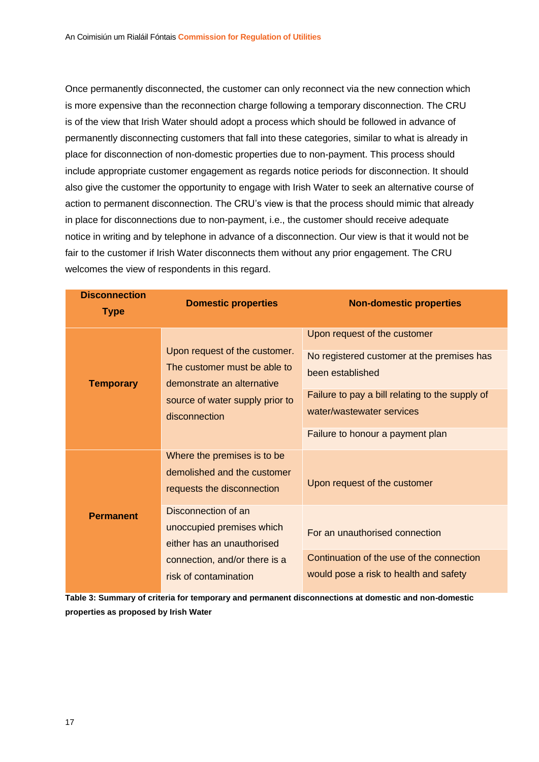Once permanently disconnected, the customer can only reconnect via the new connection which is more expensive than the reconnection charge following a temporary disconnection. The CRU is of the view that Irish Water should adopt a process which should be followed in advance of permanently disconnecting customers that fall into these categories, similar to what is already in place for disconnection of non-domestic properties due to non-payment. This process should include appropriate customer engagement as regards notice periods for disconnection. It should also give the customer the opportunity to engage with Irish Water to seek an alternative course of action to permanent disconnection. The CRU's view is that the process should mimic that already in place for disconnections due to non-payment, i.e., the customer should receive adequate notice in writing and by telephone in advance of a disconnection. Our view is that it would not be fair to the customer if Irish Water disconnects them without any prior engagement. The CRU welcomes the view of respondents in this regard.

| <b>Disconnection</b><br><b>Type</b> | <b>Domestic properties</b>                                                                                                                      | <b>Non-domestic properties</b>                                                                                                                                                                                     |
|-------------------------------------|-------------------------------------------------------------------------------------------------------------------------------------------------|--------------------------------------------------------------------------------------------------------------------------------------------------------------------------------------------------------------------|
| <b>Temporary</b>                    | Upon request of the customer.<br>The customer must be able to<br>demonstrate an alternative<br>source of water supply prior to<br>disconnection | Upon request of the customer<br>No registered customer at the premises has<br>been established<br>Failure to pay a bill relating to the supply of<br>water/wastewater services<br>Failure to honour a payment plan |
|                                     | Where the premises is to be<br>demolished and the customer<br>requests the disconnection                                                        | Upon request of the customer                                                                                                                                                                                       |
| <b>Permanent</b>                    | Disconnection of an<br>unoccupied premises which<br>either has an unauthorised<br>connection, and/or there is a<br>risk of contamination        | For an unauthorised connection<br>Continuation of the use of the connection<br>would pose a risk to health and safety                                                                                              |

**Table 3: Summary of criteria for temporary and permanent disconnections at domestic and non-domestic properties as proposed by Irish Water**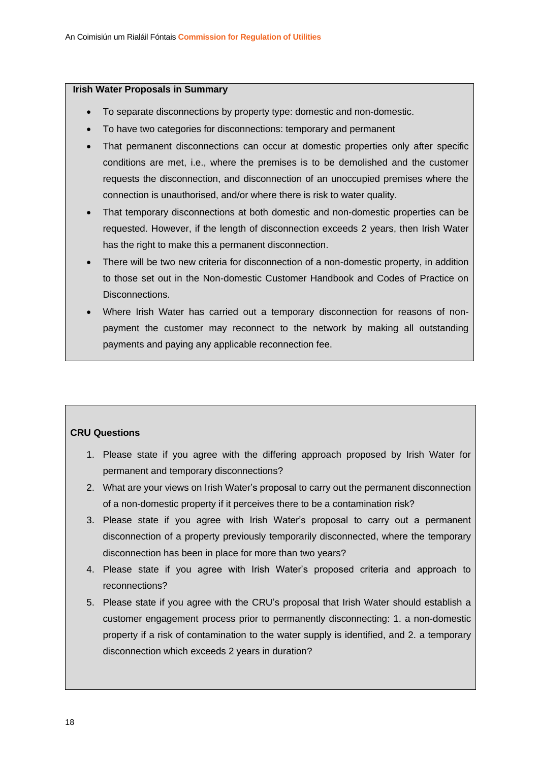#### **Irish Water Proposals in Summary**

- To separate disconnections by property type: domestic and non-domestic.
- To have two categories for disconnections: temporary and permanent
- That permanent disconnections can occur at domestic properties only after specific conditions are met, i.e., where the premises is to be demolished and the customer requests the disconnection, and disconnection of an unoccupied premises where the connection is unauthorised, and/or where there is risk to water quality.
- That temporary disconnections at both domestic and non-domestic properties can be requested. However, if the length of disconnection exceeds 2 years, then Irish Water has the right to make this a permanent disconnection.
- There will be two new criteria for disconnection of a non-domestic property, in addition to those set out in the Non-domestic Customer Handbook and Codes of Practice on Disconnections.
- Where Irish Water has carried out a temporary disconnection for reasons of nonpayment the customer may reconnect to the network by making all outstanding payments and paying any applicable reconnection fee.

#### **CRU Questions**

- 1. Please state if you agree with the differing approach proposed by Irish Water for permanent and temporary disconnections?
- 2. What are your views on Irish Water's proposal to carry out the permanent disconnection of a non-domestic property if it perceives there to be a contamination risk?
- 3. Please state if you agree with Irish Water's proposal to carry out a permanent disconnection of a property previously temporarily disconnected, where the temporary disconnection has been in place for more than two years?
- 4. Please state if you agree with Irish Water's proposed criteria and approach to reconnections?
- 5. Please state if you agree with the CRU's proposal that Irish Water should establish a customer engagement process prior to permanently disconnecting: 1. a non-domestic property if a risk of contamination to the water supply is identified, and 2. a temporary disconnection which exceeds 2 years in duration?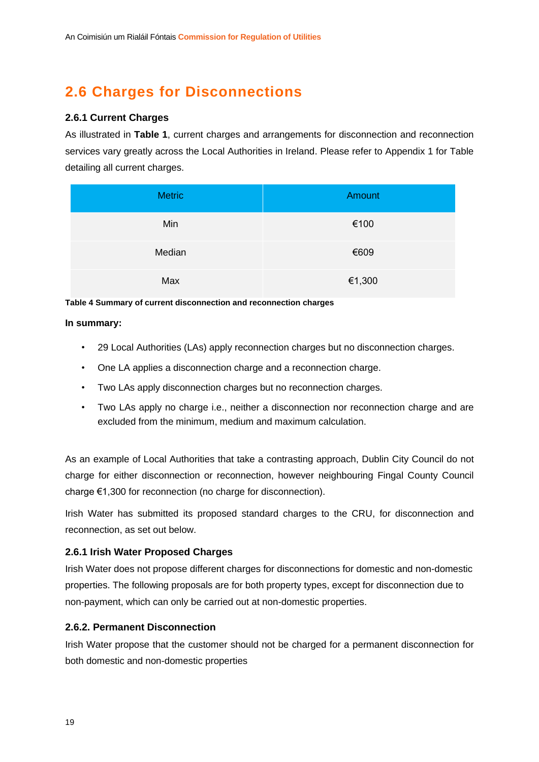# **2.6 Charges for Disconnections**

#### **2.6.1 Current Charges**

As illustrated in **Table 1**, current charges and arrangements for disconnection and reconnection services vary greatly across the Local Authorities in Ireland. Please refer to Appendix 1 for Table detailing all current charges.

| <b>Metric</b> | Amount |
|---------------|--------|
| Min           | €100   |
| Median        | €609   |
| Max           | €1,300 |

**Table 4 Summary of current disconnection and reconnection charges**

#### **In summary:**

- 29 Local Authorities (LAs) apply reconnection charges but no disconnection charges.
- One LA applies a disconnection charge and a reconnection charge.
- Two LAs apply disconnection charges but no reconnection charges.
- Two LAs apply no charge i.e., neither a disconnection nor reconnection charge and are excluded from the minimum, medium and maximum calculation.

As an example of Local Authorities that take a contrasting approach, Dublin City Council do not charge for either disconnection or reconnection, however neighbouring Fingal County Council charge €1,300 for reconnection (no charge for disconnection).

Irish Water has submitted its proposed standard charges to the CRU, for disconnection and reconnection, as set out below.

#### **2.6.1 Irish Water Proposed Charges**

Irish Water does not propose different charges for disconnections for domestic and non-domestic properties. The following proposals are for both property types, except for disconnection due to non-payment, which can only be carried out at non-domestic properties.

#### **2.6.2. Permanent Disconnection**

Irish Water propose that the customer should not be charged for a permanent disconnection for both domestic and non-domestic properties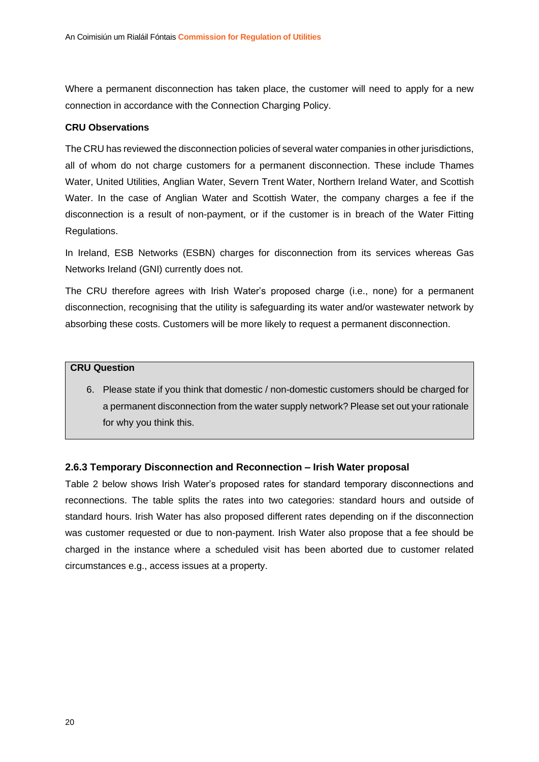Where a permanent disconnection has taken place, the customer will need to apply for a new connection in accordance with the Connection Charging Policy.

#### **CRU Observations**

The CRU has reviewed the disconnection policies of several water companies in other jurisdictions, all of whom do not charge customers for a permanent disconnection. These include Thames Water, United Utilities, Anglian Water, Severn Trent Water, Northern Ireland Water, and Scottish Water. In the case of Anglian Water and Scottish Water, the company charges a fee if the disconnection is a result of non-payment, or if the customer is in breach of the Water Fitting Regulations.

In Ireland, ESB Networks (ESBN) charges for disconnection from its services whereas Gas Networks Ireland (GNI) currently does not.

The CRU therefore agrees with Irish Water's proposed charge (i.e., none) for a permanent disconnection, recognising that the utility is safeguarding its water and/or wastewater network by absorbing these costs. Customers will be more likely to request a permanent disconnection.

#### **CRU Question**

6. Please state if you think that domestic / non-domestic customers should be charged for a permanent disconnection from the water supply network? Please set out your rationale for why you think this.

#### **2.6.3 Temporary Disconnection and Reconnection – Irish Water proposal**

Table 2 below shows Irish Water's proposed rates for standard temporary disconnections and reconnections. The table splits the rates into two categories: standard hours and outside of standard hours. Irish Water has also proposed different rates depending on if the disconnection was customer requested or due to non-payment. Irish Water also propose that a fee should be charged in the instance where a scheduled visit has been aborted due to customer related circumstances e.g., access issues at a property.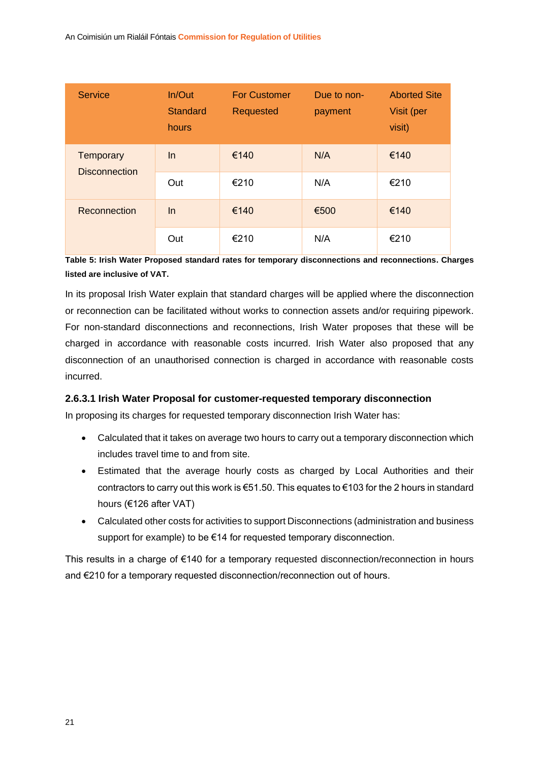| <b>Service</b>       | In/Out<br><b>Standard</b><br>hours | <b>For Customer</b><br>Requested | Due to non-<br>payment | <b>Aborted Site</b><br>Visit (per<br>visit) |
|----------------------|------------------------------------|----------------------------------|------------------------|---------------------------------------------|
| <b>Temporary</b>     | ln                                 | €140                             | N/A                    | €140                                        |
| <b>Disconnection</b> | Out                                | €210                             | N/A                    | €210                                        |
| Reconnection         | $\ln$                              | €140                             | €500                   | €140                                        |
|                      | Out                                | €210                             | N/A                    | €210                                        |

**Table 5: Irish Water Proposed standard rates for temporary disconnections and reconnections. Charges listed are inclusive of VAT.** 

In its proposal Irish Water explain that standard charges will be applied where the disconnection or reconnection can be facilitated without works to connection assets and/or requiring pipework. For non-standard disconnections and reconnections, Irish Water proposes that these will be charged in accordance with reasonable costs incurred. Irish Water also proposed that any disconnection of an unauthorised connection is charged in accordance with reasonable costs incurred.

#### **2.6.3.1 Irish Water Proposal for customer-requested temporary disconnection**

In proposing its charges for requested temporary disconnection Irish Water has:

- Calculated that it takes on average two hours to carry out a temporary disconnection which includes travel time to and from site.
- Estimated that the average hourly costs as charged by Local Authorities and their contractors to carry out this work is €51.50. This equates to €103 for the 2 hours in standard hours (€126 after VAT)
- Calculated other costs for activities to support Disconnections (administration and business support for example) to be €14 for requested temporary disconnection.

This results in a charge of €140 for a temporary requested disconnection/reconnection in hours and €210 for a temporary requested disconnection/reconnection out of hours.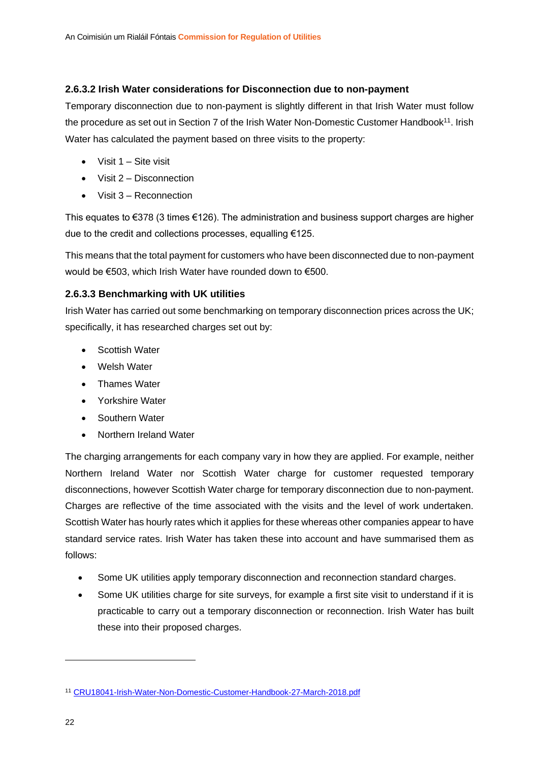#### **2.6.3.2 Irish Water considerations for Disconnection due to non-payment**

Temporary disconnection due to non-payment is slightly different in that Irish Water must follow the procedure as set out in Section 7 of the Irish Water Non-Domestic Customer Handbook<sup>11</sup>. Irish Water has calculated the payment based on three visits to the property:

- $\bullet$  Visit 1 Site visit
- Visit 2 Disconnection
- Visit 3 Reconnection

This equates to  $\epsilon$ 378 (3 times  $\epsilon$ 126). The administration and business support charges are higher due to the credit and collections processes, equalling €125.

This means that the total payment for customers who have been disconnected due to non-payment would be €503, which Irish Water have rounded down to €500.

#### **2.6.3.3 Benchmarking with UK utilities**

Irish Water has carried out some benchmarking on temporary disconnection prices across the UK; specifically, it has researched charges set out by:

- Scottish Water
- Welsh Water
- Thames Water
- Yorkshire Water
- Southern Water
- Northern Ireland Water

The charging arrangements for each company vary in how they are applied. For example, neither Northern Ireland Water nor Scottish Water charge for customer requested temporary disconnections, however Scottish Water charge for temporary disconnection due to non-payment. Charges are reflective of the time associated with the visits and the level of work undertaken. Scottish Water has hourly rates which it applies for these whereas other companies appear to have standard service rates. Irish Water has taken these into account and have summarised them as follows:

- Some UK utilities apply temporary disconnection and reconnection standard charges.
- Some UK utilities charge for site surveys, for example a first site visit to understand if it is practicable to carry out a temporary disconnection or reconnection. Irish Water has built these into their proposed charges.

<sup>11</sup> [CRU18041-Irish-Water-Non-Domestic-Customer-Handbook-27-March-2018.pdf](https://www.cru.ie/wp-content/uploads/2018/03/CRU18041-Irish-Water-Non-Domestic-Customer-Handbook-27-March-2018.pdf)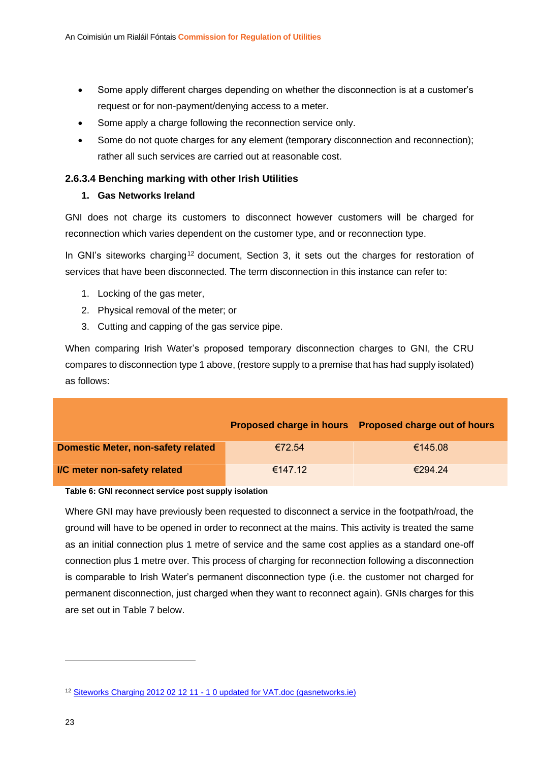- Some apply different charges depending on whether the disconnection is at a customer's request or for non-payment/denying access to a meter.
- Some apply a charge following the reconnection service only.
- Some do not quote charges for any element (temporary disconnection and reconnection); rather all such services are carried out at reasonable cost.

#### **2.6.3.4 Benching marking with other Irish Utilities**

#### **1. Gas Networks Ireland**

GNI does not charge its customers to disconnect however customers will be charged for reconnection which varies dependent on the customer type, and or reconnection type.

In GNI's siteworks charging<sup>12</sup> document. Section 3, it sets out the charges for restoration of services that have been disconnected. The term disconnection in this instance can refer to:

- 1. Locking of the gas meter,
- 2. Physical removal of the meter; or
- 3. Cutting and capping of the gas service pipe.

When comparing Irish Water's proposed temporary disconnection charges to GNI, the CRU compares to disconnection type 1 above, (restore supply to a premise that has had supply isolated) as follows:

|                                           |         | Proposed charge in hours Proposed charge out of hours |
|-------------------------------------------|---------|-------------------------------------------------------|
| <b>Domestic Meter, non-safety related</b> | €72.54  | €145.08                                               |
| I/C meter non-safety related              | €147.12 | €294.24                                               |

#### **Table 6: GNI reconnect service post supply isolation**

Where GNI may have previously been requested to disconnect a service in the footpath/road, the ground will have to be opened in order to reconnect at the mains. This activity is treated the same as an initial connection plus 1 metre of service and the same cost applies as a standard one-off connection plus 1 metre over. This process of charging for reconnection following a disconnection is comparable to Irish Water's permanent disconnection type (i.e. the customer not charged for permanent disconnection, just charged when they want to reconnect again). GNIs charges for this are set out in Table 7 below.

<sup>&</sup>lt;sup>12</sup> Siteworks Charging 2012 02 12 11 - [1 0 updated for VAT.doc \(gasnetworks.ie\)](https://www.gasnetworks.ie/home/gas-meter/meter-services/Siteworks-Charging-Document.pdf)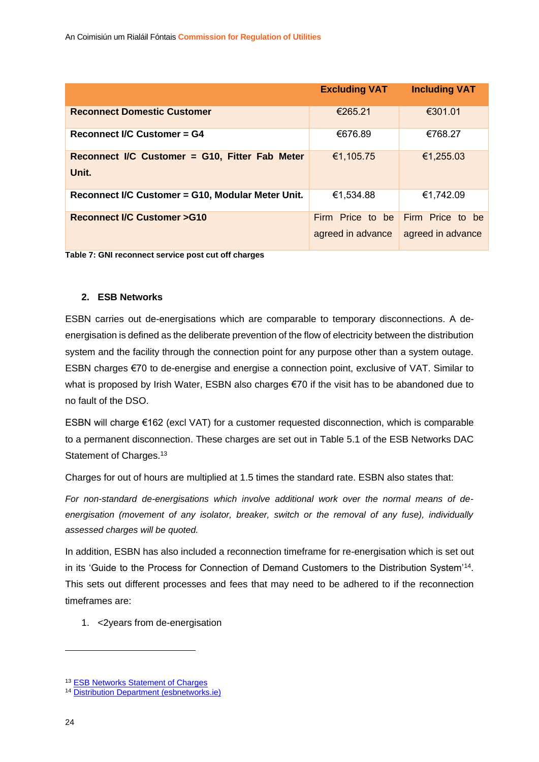|                                                         | <b>Excluding VAT</b>                  | <b>Including VAT</b>                  |
|---------------------------------------------------------|---------------------------------------|---------------------------------------|
| <b>Reconnect Domestic Customer</b>                      | €265.21                               | €301.01                               |
| <b>Reconnect I/C Customer = G4</b>                      | €676.89                               | €768.27                               |
| Reconnect I/C Customer = G10, Fitter Fab Meter<br>Unit. | €1,105.75                             | €1,255.03                             |
| Reconnect I/C Customer = G10, Modular Meter Unit.       | €1,534.88                             | €1,742.09                             |
| <b>Reconnect I/C Customer &gt;G10</b>                   | Firm Price to be<br>agreed in advance | Firm Price to be<br>agreed in advance |

**Table 7: GNI reconnect service post cut off charges** 

#### **2. ESB Networks**

ESBN carries out de-energisations which are comparable to temporary disconnections. A deenergisation is defined as the deliberate prevention of the flow of electricity between the distribution system and the facility through the connection point for any purpose other than a system outage. ESBN charges €70 to de-energise and energise a connection point, exclusive of VAT. Similar to what is proposed by Irish Water, ESBN also charges €70 if the visit has to be abandoned due to no fault of the DSO.

ESBN will charge €162 (excl VAT) for a customer requested disconnection, which is comparable to a permanent disconnection. These charges are set out in Table 5.1 of the ESB Networks DAC Statement of Charges.<sup>13</sup>

Charges for out of hours are multiplied at 1.5 times the standard rate. ESBN also states that:

*For non-standard de-energisations which involve additional work over the normal means of deenergisation (movement of any isolator, breaker, switch or the removal of any fuse), individually assessed charges will be quoted.*

In addition, ESBN has also included a reconnection timeframe for re-energisation which is set out in its 'Guide to the Process for Connection of Demand Customers to the Distribution System'<sup>14</sup>. This sets out different processes and fees that may need to be adhered to if the reconnection timeframes are:

1. <2years from de-energisation

<sup>13</sup> [ESB Networks Statement of Charges](https://www.esbnetworks.ie/docs/default-source/publications/esb-networks-dac-statement-of-charges.pdf)

<sup>14</sup> [Distribution Department \(esbnetworks.ie\)](https://www.esbnetworks.ie/docs/default-source/publications/guide-to-the-process-for-connection-of-demand-customers-to-the-distribution-system.pdf?sfvrsn=384d748b_12)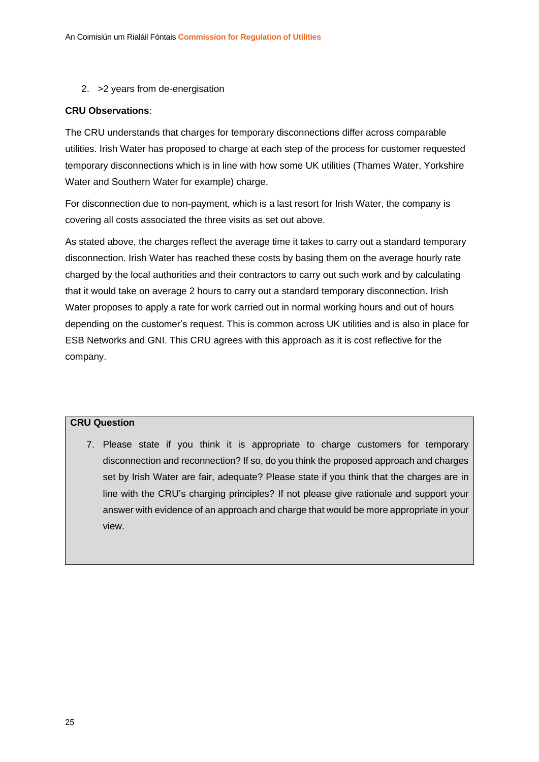2. >2 years from de-energisation

#### **CRU Observations**:

The CRU understands that charges for temporary disconnections differ across comparable utilities. Irish Water has proposed to charge at each step of the process for customer requested temporary disconnections which is in line with how some UK utilities (Thames Water, Yorkshire Water and Southern Water for example) charge.

For disconnection due to non-payment, which is a last resort for Irish Water, the company is covering all costs associated the three visits as set out above.

As stated above, the charges reflect the average time it takes to carry out a standard temporary disconnection. Irish Water has reached these costs by basing them on the average hourly rate charged by the local authorities and their contractors to carry out such work and by calculating that it would take on average 2 hours to carry out a standard temporary disconnection. Irish Water proposes to apply a rate for work carried out in normal working hours and out of hours depending on the customer's request. This is common across UK utilities and is also in place for ESB Networks and GNI. This CRU agrees with this approach as it is cost reflective for the company.

#### **CRU Question**

7. Please state if you think it is appropriate to charge customers for temporary disconnection and reconnection? If so, do you think the proposed approach and charges set by Irish Water are fair, adequate? Please state if you think that the charges are in line with the CRU's charging principles? If not please give rationale and support your answer with evidence of an approach and charge that would be more appropriate in your view.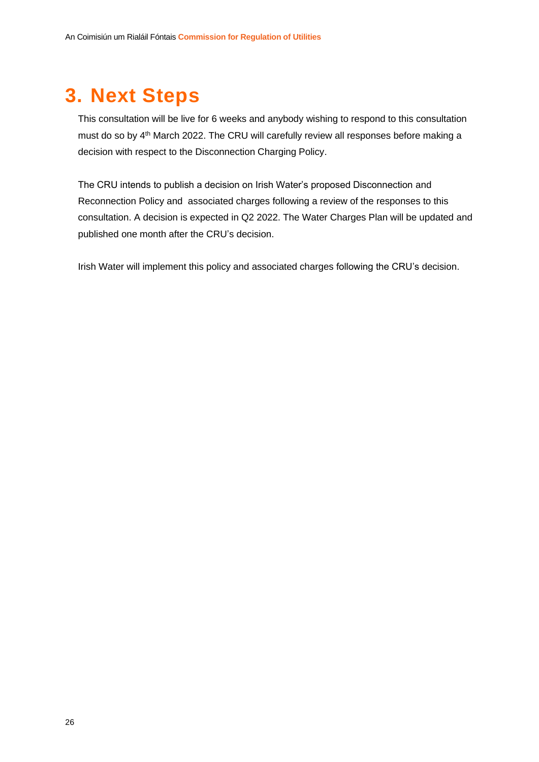# **3. Next Steps**

This consultation will be live for 6 weeks and anybody wishing to respond to this consultation must do so by 4<sup>th</sup> March 2022. The CRU will carefully review all responses before making a decision with respect to the Disconnection Charging Policy.

The CRU intends to publish a decision on Irish Water's proposed Disconnection and Reconnection Policy and associated charges following a review of the responses to this consultation. A decision is expected in Q2 2022. The Water Charges Plan will be updated and published one month after the CRU's decision.

Irish Water will implement this policy and associated charges following the CRU's decision.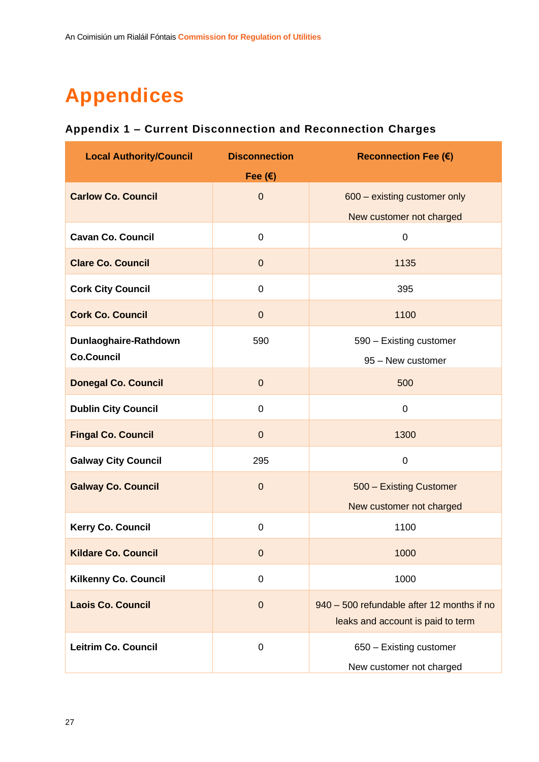# **Appendices**

### **Appendix 1 – Current Disconnection and Reconnection Charges**

| <b>Local Authority/Council</b> | <b>Disconnection</b> | <b>Reconnection Fee (€)</b>                                                     |
|--------------------------------|----------------------|---------------------------------------------------------------------------------|
|                                | Fee $(E)$            |                                                                                 |
| <b>Carlow Co. Council</b>      | $\overline{0}$       | 600 - existing customer only                                                    |
|                                |                      | New customer not charged                                                        |
| <b>Cavan Co. Council</b>       | $\mathbf 0$          | $\boldsymbol{0}$                                                                |
| <b>Clare Co. Council</b>       | $\overline{0}$       | 1135                                                                            |
| <b>Cork City Council</b>       | $\mathbf 0$          | 395                                                                             |
| <b>Cork Co. Council</b>        | $\overline{0}$       | 1100                                                                            |
| Dunlaoghaire-Rathdown          | 590                  | 590 - Existing customer                                                         |
| <b>Co.Council</b>              |                      | 95 - New customer                                                               |
| <b>Donegal Co. Council</b>     | $\overline{0}$       | 500                                                                             |
| <b>Dublin City Council</b>     | $\mathbf 0$          | $\mathbf 0$                                                                     |
| <b>Fingal Co. Council</b>      | $\overline{0}$       | 1300                                                                            |
| <b>Galway City Council</b>     | 295                  | $\pmb{0}$                                                                       |
| <b>Galway Co. Council</b>      | $\Omega$             | 500 - Existing Customer                                                         |
|                                |                      | New customer not charged                                                        |
| Kerry Co. Council              | $\mathbf 0$          | 1100                                                                            |
| <b>Kildare Co. Council</b>     | $\boldsymbol{0}$     | 1000                                                                            |
| <b>Kilkenny Co. Council</b>    | $\mathbf 0$          | 1000                                                                            |
| <b>Laois Co. Council</b>       | $\theta$             | 940 - 500 refundable after 12 months if no<br>leaks and account is paid to term |
| <b>Leitrim Co. Council</b>     | $\pmb{0}$            | 650 - Existing customer<br>New customer not charged                             |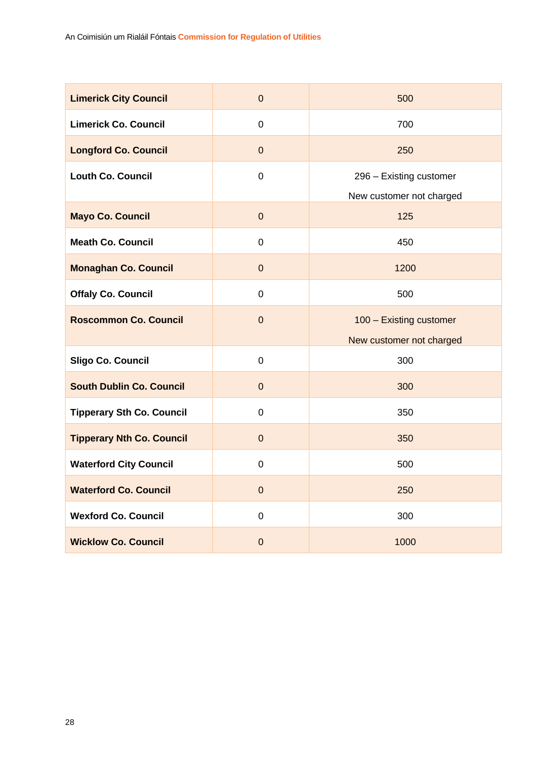| <b>Limerick City Council</b>     | $\mathbf 0$    | 500                      |
|----------------------------------|----------------|--------------------------|
| <b>Limerick Co. Council</b>      | $\overline{0}$ | 700                      |
| <b>Longford Co. Council</b>      | $\mathbf 0$    | 250                      |
| <b>Louth Co. Council</b>         | $\mathbf 0$    | 296 - Existing customer  |
|                                  |                | New customer not charged |
| <b>Mayo Co. Council</b>          | $\mathbf 0$    | 125                      |
| <b>Meath Co. Council</b>         | 0              | 450                      |
| <b>Monaghan Co. Council</b>      | $\mathbf 0$    | 1200                     |
| <b>Offaly Co. Council</b>        | $\overline{0}$ | 500                      |
| <b>Roscommon Co. Council</b>     | $\overline{0}$ | 100 - Existing customer  |
|                                  |                | New customer not charged |
| Sligo Co. Council                | $\mathbf 0$    | 300                      |
| <b>South Dublin Co. Council</b>  | $\mathbf 0$    | 300                      |
| <b>Tipperary Sth Co. Council</b> | $\overline{0}$ | 350                      |
| <b>Tipperary Nth Co. Council</b> | $\mathbf 0$    | 350                      |
| <b>Waterford City Council</b>    | $\overline{0}$ | 500                      |
| <b>Waterford Co. Council</b>     | $\overline{0}$ | 250                      |
| <b>Wexford Co. Council</b>       | 0              | 300                      |
| <b>Wicklow Co. Council</b>       | $\overline{0}$ | 1000                     |